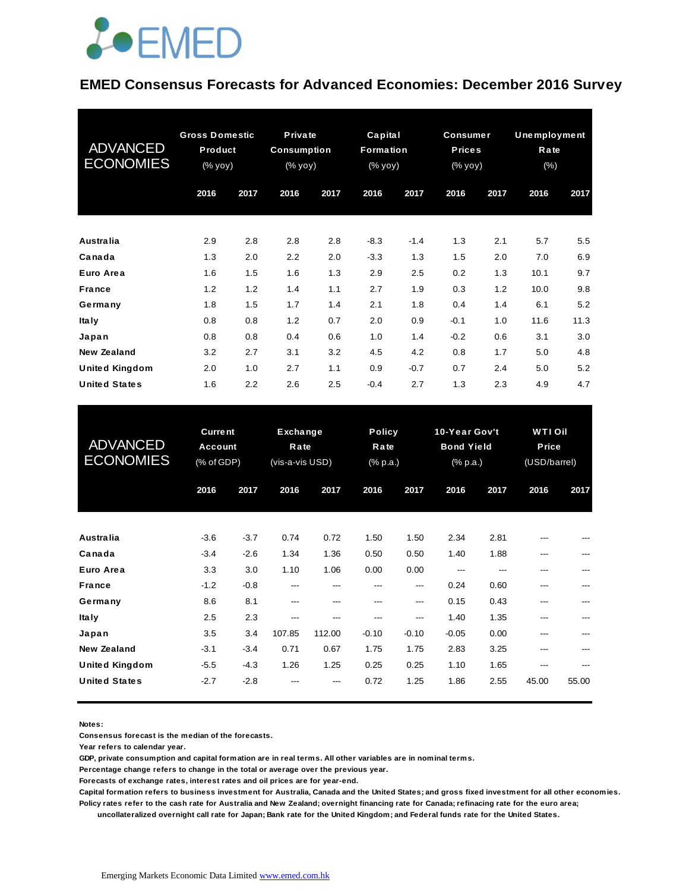

#### **EMED Consensus Forecasts for Advanced Economies: December 2016 Survey**

| <b>ADVANCED</b><br><b>ECONOMIES</b> | <b>Gross Domestic</b><br>Product<br>(% yoy) |      | Private<br><b>Consumption</b><br>(% yoy) |      | Capital<br><b>Formation</b><br>(% yoy) |        | <b>Consumer</b><br><b>Prices</b><br>(% yoy) |         | Unemployment<br>Rate<br>$(\% )$ |      |
|-------------------------------------|---------------------------------------------|------|------------------------------------------|------|----------------------------------------|--------|---------------------------------------------|---------|---------------------------------|------|
|                                     | 2016                                        | 2017 | 2016                                     | 2017 | 2016                                   | 2017   | 2016                                        | 2017    | 2016                            | 2017 |
| Australia                           | 2.9                                         | 2.8  | 2.8                                      | 2.8  | $-8.3$                                 | $-1.4$ | 1.3                                         | 2.1     | 5.7                             | 5.5  |
| Canada                              | 1.3                                         | 2.0  | 2.2                                      | 2.0  | $-3.3$                                 | 1.3    | 1.5                                         | 2.0     | 7.0                             | 6.9  |
| Euro Area                           | 1.6                                         | 1.5  | 1.6                                      | 1.3  | 2.9                                    | 2.5    | 0.2                                         | 1.3     | 10.1                            | 9.7  |
| <b>France</b>                       | 1.2                                         | 1.2  | 1.4                                      | 1.1  | 2.7                                    | 1.9    | 0.3                                         | 1.2     | 10.0                            | 9.8  |
| Germany                             | 1.8                                         | 1.5  | 1.7                                      | 1.4  | 2.1                                    | 1.8    | 0.4                                         | 1.4     | 6.1                             | 5.2  |
| <b>Italy</b>                        | 0.8                                         | 0.8  | 1.2                                      | 0.7  | 2.0                                    | 0.9    | $-0.1$                                      | 1.0     | 11.6                            | 11.3 |
| Japan                               | 0.8                                         | 0.8  | 0.4                                      | 0.6  | 1.0                                    | 1.4    | $-0.2$                                      | 0.6     | 3.1                             | 3.0  |
| <b>New Zealand</b>                  | 3.2                                         | 2.7  | 3.1                                      | 3.2  | 4.5                                    | 4.2    | 0.8                                         | 1.7     | 5.0                             | 4.8  |
| <b>United Kingdom</b>               | 2.0                                         | 1.0  | 2.7                                      | 1.1  | 0.9                                    | $-0.7$ | 0.7                                         | $2.4\,$ | 5.0                             | 5.2  |
| <b>United States</b>                | 1.6                                         | 2.2  | 2.6                                      | 2.5  | $-0.4$                                 | 2.7    | 1.3                                         | 2.3     | 4.9                             | 4.7  |

| <b>United States</b>                | 1.6                                     | 2.2    | 2.6                                        | 2.5    | $-0.4$  | 2.7                               | 1.3     | 2.3                                            | 4.9   | 4.7                                     |  |
|-------------------------------------|-----------------------------------------|--------|--------------------------------------------|--------|---------|-----------------------------------|---------|------------------------------------------------|-------|-----------------------------------------|--|
| <b>ADVANCED</b><br><b>ECONOMIES</b> | <b>Current</b><br>Account<br>(% of GDP) |        | <b>Exchange</b><br>Rate<br>(vis-a-vis USD) |        |         | <b>Policy</b><br>Rate<br>(% p.a.) |         | 10-Year Gov't<br><b>Bond Yield</b><br>(% p.a.) |       | <b>WTI Oil</b><br>Price<br>(USD/barrel) |  |
|                                     | 2016                                    | 2017   | 2016                                       | 2017   | 2016    | 2017                              | 2016    | 2017                                           | 2016  | 2017                                    |  |
| Australia                           | $-3.6$                                  | $-3.7$ | 0.74                                       | 0.72   | 1.50    | 1.50                              | 2.34    | 2.81                                           |       |                                         |  |
| Canada                              | $-3.4$                                  | $-2.6$ | 1.34                                       | 1.36   | 0.50    | 0.50                              | 1.40    | 1.88                                           |       |                                         |  |
| Euro Area                           | 3.3                                     | 3.0    | 1.10                                       | 1.06   | 0.00    | 0.00                              | ---     | ---                                            |       |                                         |  |
| <b>France</b>                       | $-1.2$                                  | $-0.8$ | ---                                        | ---    |         | ---                               | 0.24    | 0.60                                           |       |                                         |  |
| Germany                             | 8.6                                     | 8.1    | ---                                        | ---    | ---     | ---                               | 0.15    | 0.43                                           | ---   |                                         |  |
| <b>Italy</b>                        | 2.5                                     | 2.3    | ---                                        | ---    | ---     | ---                               | 1.40    | 1.35                                           | ---   |                                         |  |
| Japan                               | 3.5                                     | 3.4    | 107.85                                     | 112.00 | $-0.10$ | $-0.10$                           | $-0.05$ | 0.00                                           | ---   |                                         |  |
| <b>New Zealand</b>                  | $-3.1$                                  | $-3.4$ | 0.71                                       | 0.67   | 1.75    | 1.75                              | 2.83    | 3.25                                           |       |                                         |  |
| <b>United Kingdom</b>               | $-5.5$                                  | $-4.3$ | 1.26                                       | 1.25   | 0.25    | 0.25                              | 1.10    | 1.65                                           | ---   |                                         |  |
| <b>United States</b>                | $-2.7$                                  | $-2.8$ |                                            |        | 0.72    | 1.25                              | 1.86    | 2.55                                           | 45.00 | 55.00                                   |  |

**Notes:** 

**Consensus forecast is the median of the forecasts.**

**Year refers to calendar year.**

**GDP, private consumption and capital formation are in real terms. All other variables are in nominal terms.**

**Percentage change refers to change in the total or average over the previous year.**

**Forecasts of exchange rates, interest rates and oil prices are for year-end.**

**Capital formation refers to business investment for Australia, Canada and the United States; and gross fixed investment for all other economies. Policy rates refer to the cash rate for Australia and New Zealand; overnight financing rate for Canada; refinacing rate for the euro area;** 

 **uncollateralized overnight call rate for Japan; Bank rate for the United Kingdom; and Federal funds rate for the United States.**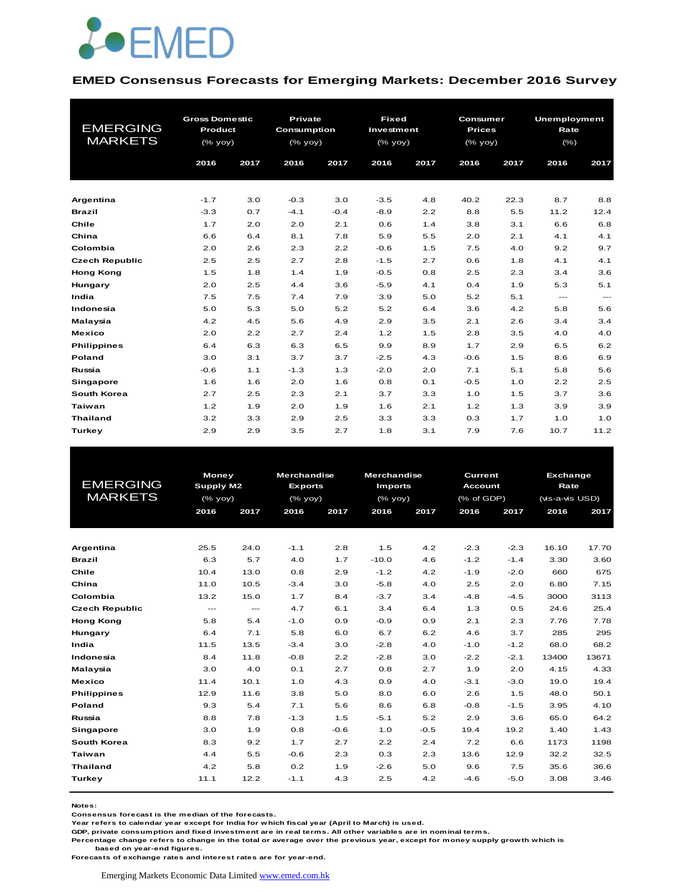

#### **EMED Consensus Forecasts for Emerging Markets: December 2016 Survey**

| <b>EMERGING</b>       | <b>Gross Domestic</b> |      | Private            |        | <b>Fixed</b> |      | <b>Consumer</b> |      | <b>Unemployment</b>       |       |
|-----------------------|-----------------------|------|--------------------|--------|--------------|------|-----------------|------|---------------------------|-------|
| <b>MARKETS</b>        | Product               |      | <b>Consumption</b> |        | Investment   |      | <b>Prices</b>   |      | Rate                      |       |
|                       | (% yoy)               |      | $(%$ (% yoy)       |        | $(%$ (% yoy) |      | (% yoy)         |      | $(\% )$                   |       |
|                       | 2016                  | 2017 | 2016               | 2017   | 2016         | 2017 | 2016            | 2017 | 2016                      | 2017  |
|                       |                       |      |                    |        |              |      |                 |      |                           |       |
| Argentina             | $-1.7$                | 3.0  | $-0.3$             | 3.0    | $-3.5$       | 4.8  | 40.2            | 22.3 | 8.7                       | 8.8   |
| <b>Brazil</b>         | $-3.3$                | 0.7  | $-4.1$             | $-0.4$ | $-8.9$       | 2.2  | 8.8             | 5.5  | 11.2                      | 12.4  |
| Chile                 | 1.7                   | 2.0  | 2.0                | 2.1    | 0.6          | 1.4  | 3.8             | 3.1  | 6.6                       | 6.8   |
| China                 | 6.6                   | 6.4  | 8.1                | 7.8    | 5.9          | 5.5  | 2.0             | 2.1  | 4.1                       | 4.1   |
| Colombia              | 2.0                   | 2.6  | 2.3                | 2.2    | $-0.6$       | 1.5  | 7.5             | 4.0  | 9.2                       | 9.7   |
| <b>Czech Republic</b> | 2.5                   | 2.5  | 2.7                | 2.8    | $-1.5$       | 2.7  | 0.6             | 1.8  | 4.1                       | 4.1   |
| <b>Hong Kong</b>      | 1.5                   | 1.8  | 1.4                | 1.9    | $-0.5$       | 0.8  | 2.5             | 2.3  | 3.4                       | 3.6   |
| Hungary               | 2.0                   | 2.5  | 4.4                | 3.6    | $-5.9$       | 4.1  | 0.4             | 1.9  | 5.3                       | 5.1   |
| India                 | 7.5                   | 7.5  | 7.4                | 7.9    | 3.9          | 5.0  | 5.2             | 5.1  | $\qquad \qquad -\qquad -$ | $---$ |
| Indonesia             | 5.0                   | 5.3  | 5.0                | 5.2    | 5.2          | 6.4  | 3.6             | 4.2  | 5.8                       | 5.6   |
| Malaysia              | 4.2                   | 4.5  | 5.6                | 4.9    | 2.9          | 3.5  | 2.1             | 2.6  | 3.4                       | 3.4   |
| <b>Mexico</b>         | 2.0                   | 2.2  | 2.7                | 2.4    | 1.2          | 1.5  | 2.8             | 3.5  | 4.0                       | 4.0   |
| <b>Philippines</b>    | 6.4                   | 6.3  | 6.3                | 6.5    | 9.9          | 8.9  | 1.7             | 2.9  | 6.5                       | 6.2   |
| Poland                | 3.0                   | 3.1  | 3.7                | 3.7    | $-2.5$       | 4.3  | $-0.6$          | 1.5  | 8.6                       | 6.9   |
| Russia                | $-0.6$                | 1.1  | $-1.3$             | 1.3    | $-2.0$       | 2.0  | 7.1             | 5.1  | 5.8                       | 5.6   |
| Singapore             | 1.6                   | 1.6  | 2.0                | 1.6    | 0.8          | 0.1  | $-0.5$          | 1.0  | 2.2                       | 2.5   |
| <b>South Korea</b>    | 2.7                   | 2.5  | 2.3                | 2.1    | 3.7          | 3.3  | 1.0             | 1.5  | 3.7                       | 3.6   |
| Taiwan                | 1.2                   | 1.9  | 2.0                | 1.9    | 1.6          | 2.1  | 1.2             | 1.3  | 3.9                       | 3.9   |
| <b>Thailand</b>       | 3.2                   | 3.3  | 2.9                | 2.5    | 3.3          | 3.3  | 0.3             | 1.7  | 1.0                       | 1.0   |
| Turkey                | 2.9                   | 2.9  | 3.5                | 2.7    | 1.8          | 3.1  | 7.9             | 7.6  | 10.7                      | 11.2  |

| <b>EMERGING</b><br><b>MARKETS</b> | 2016          | <b>Money</b><br>Supply M2<br>$(%$ (% yoy)<br>2017 |        | <b>Merchandise</b><br><b>Exports</b><br>$(\%$ yoy)<br>2017<br>2016 |         | <b>Merchandise</b><br><b>Imports</b><br>$(\%$ yoy)<br>2017<br>2016 |        | Current<br><b>Account</b><br>$(%$ of GDP)<br>2016<br>2017 |       | Exchange<br>Rate<br>(vis-a-vis USD)<br>2016<br>2017 |  |
|-----------------------------------|---------------|---------------------------------------------------|--------|--------------------------------------------------------------------|---------|--------------------------------------------------------------------|--------|-----------------------------------------------------------|-------|-----------------------------------------------------|--|
|                                   |               |                                                   |        |                                                                    |         |                                                                    |        |                                                           |       |                                                     |  |
|                                   |               |                                                   |        |                                                                    |         |                                                                    |        |                                                           |       |                                                     |  |
| Argentina                         | 25.5          | 24.0                                              | $-1.1$ | 2.8                                                                | 1.5     | 4.2                                                                | $-2.3$ | $-2.3$                                                    | 16.10 | 17.70                                               |  |
| <b>Brazil</b>                     | 6.3           | 5.7                                               | 4.0    | 1.7                                                                | $-10.0$ | 4.6                                                                | $-1.2$ | $-1.4$                                                    | 3.30  | 3.60                                                |  |
| Chile                             | 10.4          | 13.0                                              | 0.8    | 2.9                                                                | $-1.2$  | 4.2                                                                | $-1.9$ | $-2.0$                                                    | 660   | 675                                                 |  |
| China                             | 11.0          | 10.5                                              | $-3.4$ | 3.0                                                                | $-5.8$  | 4.0                                                                | 2.5    | 2.0                                                       | 6.80  | 7.15                                                |  |
| Colombia                          | 13.2          | 15.0                                              | 1.7    | 8.4                                                                | $-3.7$  | 3.4                                                                | $-4.8$ | $-4.5$                                                    | 3000  | 3113                                                |  |
| <b>Czech Republic</b>             | $\frac{1}{2}$ | $\frac{1}{2}$                                     | 4.7    | 6.1                                                                | 3.4     | 6.4                                                                | 1.3    | 0.5                                                       | 24.6  | 25.4                                                |  |
| <b>Hong Kong</b>                  | 5.8           | 5.4                                               | $-1.0$ | 0.9                                                                | $-0.9$  | 0.9                                                                | 2.1    | 2.3                                                       | 7.76  | 7.78                                                |  |
| Hungary                           | 6.4           | 7.1                                               | 5.8    | 6.0                                                                | 6.7     | 6.2                                                                | 4.6    | 3.7                                                       | 285   | 295                                                 |  |
| India                             | 11.5          | 13.5                                              | $-3.4$ | 3.0                                                                | $-2.8$  | 4.0                                                                | $-1.0$ | $-1.2$                                                    | 68.0  | 68.2                                                |  |
| Indonesia                         | 8.4           | 11.8                                              | $-0.8$ | 2.2                                                                | $-2.8$  | 3.0                                                                | $-2.2$ | $-2.1$                                                    | 13400 | 13671                                               |  |
| Malaysia                          | 3.0           | 4.0                                               | O.1    | 2.7                                                                | 0.8     | 2.7                                                                | 1.9    | 2.0                                                       | 4.15  | 4.33                                                |  |
| <b>Mexico</b>                     | 11.4          | 10.1                                              | 1.0    | 4.3                                                                | 0.9     | 4.0                                                                | $-3.1$ | $-3.0$                                                    | 19.0  | 19.4                                                |  |
| <b>Philippines</b>                | 12.9          | 11.6                                              | 3.8    | 5.0                                                                | 8.0     | 6.0                                                                | 2.6    | 1.5                                                       | 48.0  | 50.1                                                |  |
| Poland                            | 9.3           | 5.4                                               | 7.1    | 5.6                                                                | 8.6     | 6.8                                                                | $-0.8$ | $-1.5$                                                    | 3.95  | 4.10                                                |  |
| Russia                            | 8.8           | 7.8                                               | $-1.3$ | 1.5                                                                | $-5.1$  | 5.2                                                                | 2.9    | 3.6                                                       | 65.0  | 64.2                                                |  |
| Singapore                         | 3.0           | 1.9                                               | 0.8    | $-0.6$                                                             | 1.0     | $-0.5$                                                             | 19.4   | 19.2                                                      | 1.40  | 1.43                                                |  |
| <b>South Korea</b>                | 8.3           | 9.2                                               | 1.7    | 2.7                                                                | 2.2     | 2.4                                                                | 7.2    | 6.6                                                       | 1173  | 1198                                                |  |
| Taiwan                            | 4.4           | 5.5                                               | $-0.6$ | 2.3                                                                | 0.3     | 2.3                                                                | 13.6   | 12.9                                                      | 32.2  | 32.5                                                |  |
| <b>Thailand</b>                   | 4.2           | 5.8                                               | 0.2    | 1.9                                                                | $-2.6$  | 5.0                                                                | 9.6    | 7.5                                                       | 35.6  | 36.6                                                |  |
| Turkey                            | 11.1          | 12.2                                              | $-1.1$ | 4.3                                                                | 2.5     | 4.2                                                                | $-4.6$ | $-5.0$                                                    | 3.08  | 3.46                                                |  |

**Notes:** 

**Consensus forecast is the median of the forecasts.**

**Year refers to calendar year except for India for which fiscal year (April to March) is used.**

**GDP, private consumption and fixed investment are in real terms. All other variables are in nominal terms.**

**Percentage change refers to change in the total or average over the previous year, except for money supply growth which is based on year-end figures.**

**Forecasts of exchange rates and interest rates are for year-end.**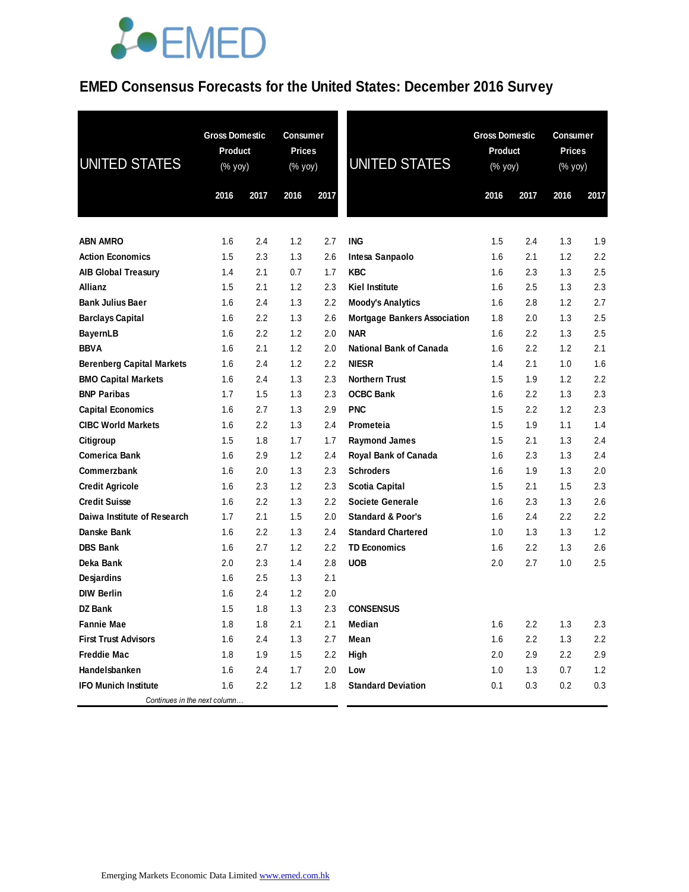### **JOEMED**

#### **EMED Consensus Forecasts for the United States: December 2016 Survey**

| UNITED STATES                    | <b>Gross Domestic</b><br>Product<br>(% yoy) |      | <b>Consumer</b><br><b>Prices</b><br>(% yoy) |      | <b>UNITED STATES</b>                | <b>Gross Domestic</b><br><b>Product</b><br>(% yoy) |         | <b>Consumer</b><br><b>Prices</b><br>(% yoy) |      |
|----------------------------------|---------------------------------------------|------|---------------------------------------------|------|-------------------------------------|----------------------------------------------------|---------|---------------------------------------------|------|
|                                  | 2016                                        | 2017 | 2016                                        | 2017 |                                     | 2016                                               | 2017    | 2016                                        | 2017 |
| <b>ABN AMRO</b>                  | 1.6                                         | 2.4  | 1.2                                         | 2.7  | <b>ING</b>                          | 1.5                                                | 2.4     | 1.3                                         | 1.9  |
| <b>Action Economics</b>          | 1.5                                         | 2.3  | 1.3                                         | 2.6  | Intesa Sanpaolo                     | 1.6                                                | 2.1     | 1.2                                         | 2.2  |
| <b>AIB Global Treasury</b>       | 1.4                                         | 2.1  | 0.7                                         | 1.7  | <b>KBC</b>                          | 1.6                                                | 2.3     | 1.3                                         | 2.5  |
| Allianz                          | 1.5                                         | 2.1  | 1.2                                         | 2.3  | <b>Kiel Institute</b>               | 1.6                                                | 2.5     | 1.3                                         | 2.3  |
| <b>Bank Julius Baer</b>          | 1.6                                         | 2.4  | 1.3                                         | 2.2  | <b>Moody's Analytics</b>            | 1.6                                                | 2.8     | 1.2                                         | 2.7  |
| <b>Barclays Capital</b>          | 1.6                                         | 2.2  | 1.3                                         | 2.6  | <b>Mortgage Bankers Association</b> | 1.8                                                | 2.0     | 1.3                                         | 2.5  |
| <b>BayernLB</b>                  | 1.6                                         | 2.2  | 1.2                                         | 2.0  | <b>NAR</b>                          | 1.6                                                | $2.2\,$ | 1.3                                         | 2.5  |
| <b>BBVA</b>                      | 1.6                                         | 2.1  | 1.2                                         | 2.0  | National Bank of Canada             | 1.6                                                | $2.2\,$ | 1.2                                         | 2.1  |
| <b>Berenberg Capital Markets</b> | 1.6                                         | 2.4  | 1.2                                         | 2.2  | <b>NIESR</b>                        | 1.4                                                | 2.1     | 1.0                                         | 1.6  |
| <b>BMO Capital Markets</b>       | 1.6                                         | 2.4  | 1.3                                         | 2.3  | <b>Northern Trust</b>               | 1.5                                                | 1.9     | 1.2                                         | 2.2  |
| <b>BNP Paribas</b>               | 1.7                                         | 1.5  | 1.3                                         | 2.3  | <b>OCBC Bank</b>                    | 1.6                                                | 2.2     | 1.3                                         | 2.3  |
| <b>Capital Economics</b>         | 1.6                                         | 2.7  | 1.3                                         | 2.9  | <b>PNC</b>                          | 1.5                                                | $2.2\,$ | 1.2                                         | 2.3  |
| <b>CIBC World Markets</b>        | 1.6                                         | 2.2  | 1.3                                         | 2.4  | Prometeia                           | 1.5                                                | 1.9     | 1.1                                         | 1.4  |
| Citigroup                        | 1.5                                         | 1.8  | 1.7                                         | 1.7  | <b>Raymond James</b>                | 1.5                                                | 2.1     | 1.3                                         | 2.4  |
| <b>Comerica Bank</b>             | 1.6                                         | 2.9  | 1.2                                         | 2.4  | Royal Bank of Canada                | 1.6                                                | 2.3     | 1.3                                         | 2.4  |
| Commerzbank                      | 1.6                                         | 2.0  | 1.3                                         | 2.3  | <b>Schroders</b>                    | 1.6                                                | 1.9     | 1.3                                         | 2.0  |
| <b>Credit Agricole</b>           | 1.6                                         | 2.3  | 1.2                                         | 2.3  | <b>Scotia Capital</b>               | 1.5                                                | 2.1     | 1.5                                         | 2.3  |
| <b>Credit Suisse</b>             | 1.6                                         | 2.2  | 1.3                                         | 2.2  | <b>Societe Generale</b>             | 1.6                                                | 2.3     | 1.3                                         | 2.6  |
| Daiwa Institute of Research      | 1.7                                         | 2.1  | 1.5                                         | 2.0  | <b>Standard &amp; Poor's</b>        | 1.6                                                | 2.4     | 2.2                                         | 2.2  |
| Danske Bank                      | 1.6                                         | 2.2  | 1.3                                         | 2.4  | <b>Standard Chartered</b>           | 1.0                                                | 1.3     | 1.3                                         | 1.2  |
| <b>DBS Bank</b>                  | 1.6                                         | 2.7  | 1.2                                         | 2.2  | <b>TD Economics</b>                 | 1.6                                                | $2.2\,$ | 1.3                                         | 2.6  |
| Deka Bank                        | 2.0                                         | 2.3  | 1.4                                         | 2.8  | <b>UOB</b>                          | 2.0                                                | 2.7     | 1.0                                         | 2.5  |
| <b>Desjardins</b>                | 1.6                                         | 2.5  | 1.3                                         | 2.1  |                                     |                                                    |         |                                             |      |
| <b>DIW Berlin</b>                | 1.6                                         | 2.4  | 1.2                                         | 2.0  |                                     |                                                    |         |                                             |      |
| <b>DZ Bank</b>                   | 1.5                                         | 1.8  | 1.3                                         | 2.3  | <b>CONSENSUS</b>                    |                                                    |         |                                             |      |
| <b>Fannie Mae</b>                | 1.8                                         | 1.8  | 2.1                                         | 2.1  | Median                              | 1.6                                                | 2.2     | 1.3                                         | 2.3  |
| <b>First Trust Advisors</b>      | 1.6                                         | 2.4  | 1.3                                         | 2.7  | Mean                                | 1.6                                                | 2.2     | 1.3                                         | 2.2  |
| <b>Freddie Mac</b>               | 1.8                                         | 1.9  | 1.5                                         | 2.2  | High                                | 2.0                                                | 2.9     | 2.2                                         | 2.9  |
| Handelsbanken                    | 1.6                                         | 2.4  | 1.7                                         | 2.0  | Low                                 | 1.0                                                | 1.3     | 0.7                                         | 1.2  |
| <b>IFO Munich Institute</b>      | 1.6                                         | 2.2  | 1.2                                         | 1.8  | <b>Standard Deviation</b>           | 0.1                                                | 0.3     | 0.2                                         | 0.3  |
| Continues in the next column     |                                             |      |                                             |      |                                     |                                                    |         |                                             |      |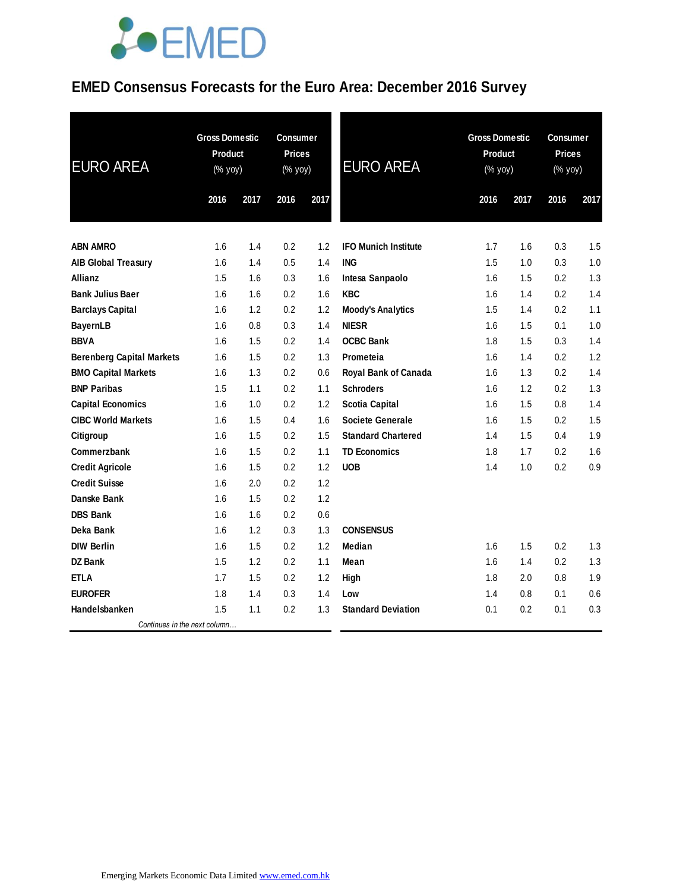# **JOEMED**

### **EMED Consensus Forecasts for the Euro Area: December 2016 Survey**

| <b>EURO AREA</b>                 | <b>Gross Domestic</b><br>Product<br>(% yoy) |      | <b>Consumer</b><br><b>Prices</b><br>(% yoy) |      | <b>EURO AREA</b>            | <b>Gross Domestic</b><br>Product<br>(% yoy) |      | <b>Consumer</b><br><b>Prices</b><br>(% yoy) | 2017 |  |
|----------------------------------|---------------------------------------------|------|---------------------------------------------|------|-----------------------------|---------------------------------------------|------|---------------------------------------------|------|--|
|                                  | 2016                                        | 2017 | 2016                                        | 2017 |                             | 2016                                        | 2017 | 2016                                        |      |  |
| <b>ABN AMRO</b>                  | 1.6                                         | 1.4  | 0.2                                         | 1.2  | <b>IFO Munich Institute</b> | 1.7                                         | 1.6  | 0.3                                         | 1.5  |  |
| <b>AIB Global Treasury</b>       | 1.6                                         | 1.4  | 0.5                                         | 1.4  | <b>ING</b>                  | 1.5                                         | 1.0  | 0.3                                         | 1.0  |  |
| Allianz                          | 1.5                                         | 1.6  | 0.3                                         | 1.6  | Intesa Sanpaolo             | 1.6                                         | 1.5  | 0.2                                         | 1.3  |  |
| <b>Bank Julius Baer</b>          | 1.6                                         | 1.6  | 0.2                                         | 1.6  | <b>KBC</b>                  | 1.6                                         | 1.4  | 0.2                                         | 1.4  |  |
| <b>Barclays Capital</b>          | 1.6                                         | 1.2  | 0.2                                         | 1.2  | <b>Moody's Analytics</b>    | 1.5                                         | 1.4  | 0.2                                         | 1.1  |  |
| <b>BayernLB</b>                  | 1.6                                         | 0.8  | 0.3                                         | 1.4  | <b>NIESR</b>                | 1.6                                         | 1.5  | 0.1                                         | 1.0  |  |
| <b>BBVA</b>                      | 1.6                                         | 1.5  | 0.2                                         | 1.4  | <b>OCBC Bank</b>            | 1.8                                         | 1.5  | 0.3                                         | 1.4  |  |
| <b>Berenberg Capital Markets</b> | 1.6                                         | 1.5  | 0.2                                         | 1.3  | Prometeia                   | 1.6                                         | 1.4  | 0.2                                         | 1.2  |  |
| <b>BMO Capital Markets</b>       | 1.6                                         | 1.3  | 0.2                                         | 0.6  | Royal Bank of Canada        | 1.6                                         | 1.3  | 0.2                                         | 1.4  |  |
| <b>BNP Paribas</b>               | 1.5                                         | 1.1  | 0.2                                         | 1.1  | <b>Schroders</b>            | 1.6                                         | 1.2  | 0.2                                         | 1.3  |  |
| <b>Capital Economics</b>         | 1.6                                         | 1.0  | 0.2                                         | 1.2  | <b>Scotia Capital</b>       | 1.6                                         | 1.5  | 0.8                                         | 1.4  |  |
| <b>CIBC World Markets</b>        | 1.6                                         | 1.5  | 0.4                                         | 1.6  | <b>Societe Generale</b>     | 1.6                                         | 1.5  | 0.2                                         | 1.5  |  |
| Citigroup                        | 1.6                                         | 1.5  | 0.2                                         | 1.5  | <b>Standard Chartered</b>   | 1.4                                         | 1.5  | 0.4                                         | 1.9  |  |
| Commerzbank                      | 1.6                                         | 1.5  | 0.2                                         | 1.1  | <b>TD Economics</b>         | 1.8                                         | 1.7  | 0.2                                         | 1.6  |  |
| <b>Credit Agricole</b>           | 1.6                                         | 1.5  | 0.2                                         | 1.2  | <b>UOB</b>                  | 1.4                                         | 1.0  | 0.2                                         | 0.9  |  |
| <b>Credit Suisse</b>             | 1.6                                         | 2.0  | 0.2                                         | 1.2  |                             |                                             |      |                                             |      |  |
| Danske Bank                      | 1.6                                         | 1.5  | 0.2                                         | 1.2  |                             |                                             |      |                                             |      |  |
| <b>DBS Bank</b>                  | 1.6                                         | 1.6  | 0.2                                         | 0.6  |                             |                                             |      |                                             |      |  |
| Deka Bank                        | 1.6                                         | 1.2  | 0.3                                         | 1.3  | <b>CONSENSUS</b>            |                                             |      |                                             |      |  |
| <b>DIW Berlin</b>                | 1.6                                         | 1.5  | 0.2                                         | 1.2  | Median                      | 1.6                                         | 1.5  | 0.2                                         | 1.3  |  |
| <b>DZ</b> Bank                   | 1.5                                         | 1.2  | 0.2                                         | 1.1  | Mean                        | 1.6                                         | 1.4  | 0.2                                         | 1.3  |  |
| <b>ETLA</b>                      | 1.7                                         | 1.5  | 0.2                                         | 1.2  | High                        | 1.8                                         | 2.0  | 0.8                                         | 1.9  |  |
| <b>EUROFER</b>                   | 1.8                                         | 1.4  | 0.3                                         | 1.4  | Low                         | 1.4                                         | 0.8  | 0.1                                         | 0.6  |  |
| Handelsbanken                    | 1.5                                         | 1.1  | 0.2                                         | 1.3  | <b>Standard Deviation</b>   | 0.1                                         | 0.2  | 0.1                                         | 0.3  |  |
| Continues in the next column     |                                             |      |                                             |      |                             |                                             |      |                                             |      |  |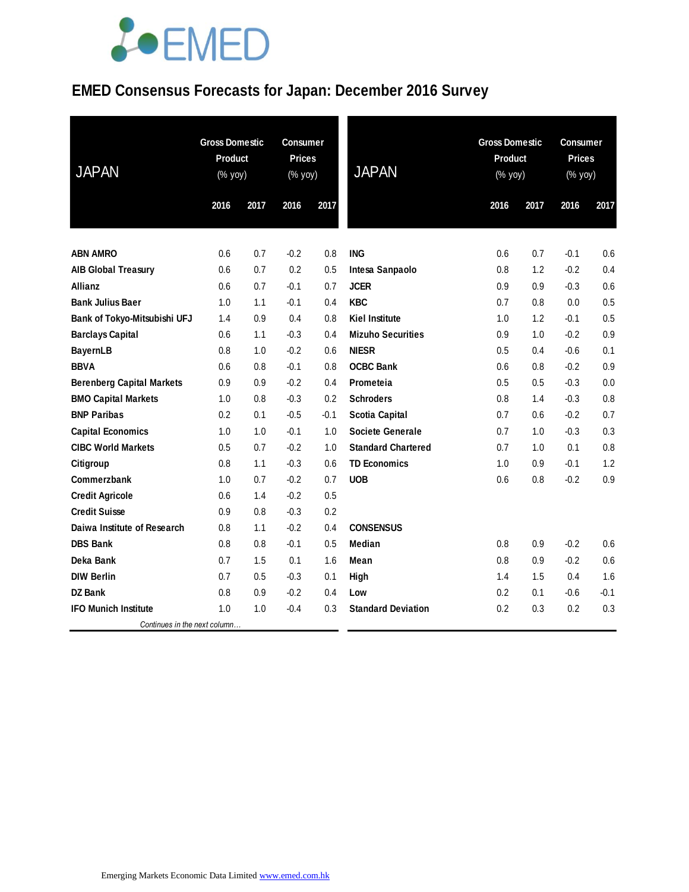# LOEMED

### **EMED Consensus Forecasts for Japan: December 2016 Survey**

| <b>JAPAN</b>                              | <b>Gross Domestic</b><br><b>Product</b><br>(% yoy) |            | <b>Consumer</b><br><b>Prices</b><br>(% yoy) |            | <b>JAPAN</b>              | <b>Gross Domestic</b><br>Product<br>(% yoy) |            | <b>Consumer</b><br><b>Prices</b><br>(% yoy) |            |
|-------------------------------------------|----------------------------------------------------|------------|---------------------------------------------|------------|---------------------------|---------------------------------------------|------------|---------------------------------------------|------------|
|                                           | 2016                                               | 2017       | 2016                                        | 2017       |                           | 2016                                        | 2017       | 2016                                        | 2017       |
|                                           |                                                    |            |                                             |            |                           |                                             |            |                                             |            |
| <b>ABN AMRO</b>                           | 0.6                                                | 0.7        | $-0.2$                                      | 0.8        | <b>ING</b>                | 0.6                                         | 0.7        | $-0.1$                                      | 0.6        |
| <b>AIB Global Treasury</b>                | 0.6                                                | 0.7        | 0.2                                         | 0.5        | Intesa Sanpaolo           | 0.8                                         | 1.2        | $-0.2$                                      | 0.4        |
| <b>Allianz</b><br><b>Bank Julius Baer</b> | 0.6<br>1.0                                         | 0.7<br>1.1 | $-0.1$<br>$-0.1$                            | 0.7<br>0.4 | <b>JCER</b><br><b>KBC</b> | 0.9<br>0.7                                  | 0.9<br>0.8 | $-0.3$<br>0.0                               | 0.6<br>0.5 |
| Bank of Tokyo-Mitsubishi UFJ              | 1.4                                                | 0.9        | 0.4                                         | 0.8        | <b>Kiel Institute</b>     | 1.0                                         | 1.2        | $-0.1$                                      | 0.5        |
| <b>Barclays Capital</b>                   | 0.6                                                | 1.1        | $-0.3$                                      | 0.4        | <b>Mizuho Securities</b>  | 0.9                                         | 1.0        | $-0.2$                                      | 0.9        |
| <b>BayernLB</b>                           | 0.8                                                | 1.0        | $-0.2$                                      | 0.6        | <b>NIESR</b>              | 0.5                                         | 0.4        | $-0.6$                                      | 0.1        |
| <b>BBVA</b>                               | 0.6                                                | 0.8        | $-0.1$                                      | 0.8        | <b>OCBC Bank</b>          | 0.6                                         | 0.8        | $-0.2$                                      | 0.9        |
| <b>Berenberg Capital Markets</b>          | 0.9                                                | 0.9        | $-0.2$                                      | 0.4        | Prometeia                 | 0.5                                         | 0.5        | $-0.3$                                      | 0.0        |
| <b>BMO Capital Markets</b>                | 1.0                                                | 0.8        | $-0.3$                                      | 0.2        | <b>Schroders</b>          | 0.8                                         | 1.4        | $-0.3$                                      | 0.8        |
| <b>BNP Paribas</b>                        | 0.2                                                | 0.1        | $-0.5$                                      | $-0.1$     | <b>Scotia Capital</b>     | 0.7                                         | 0.6        | $-0.2$                                      | 0.7        |
| <b>Capital Economics</b>                  | 1.0                                                | 1.0        | $-0.1$                                      | 1.0        | <b>Societe Generale</b>   | 0.7                                         | 1.0        | $-0.3$                                      | 0.3        |
| <b>CIBC World Markets</b>                 | 0.5                                                | 0.7        | $-0.2$                                      | 1.0        | <b>Standard Chartered</b> | 0.7                                         | 1.0        | 0.1                                         | 0.8        |
| Citigroup                                 | 0.8                                                | 1.1        | $-0.3$                                      | 0.6        | <b>TD Economics</b>       | 1.0                                         | 0.9        | $-0.1$                                      | 1.2        |
| Commerzbank                               | 1.0                                                | 0.7        | $-0.2$                                      | 0.7        | <b>UOB</b>                | 0.6                                         | 0.8        | $-0.2$                                      | 0.9        |
| <b>Credit Agricole</b>                    | 0.6                                                | 1.4        | $-0.2$                                      | 0.5        |                           |                                             |            |                                             |            |
| <b>Credit Suisse</b>                      | 0.9                                                | 0.8        | $-0.3$                                      | 0.2        |                           |                                             |            |                                             |            |
| Daiwa Institute of Research               | 0.8                                                | 1.1        | $-0.2$                                      | 0.4        | <b>CONSENSUS</b>          |                                             |            |                                             |            |
| <b>DBS Bank</b>                           | 0.8                                                | 0.8        | $-0.1$                                      | 0.5        | Median                    | 0.8                                         | 0.9        | $-0.2$                                      | 0.6        |
| Deka Bank                                 | 0.7                                                | 1.5        | 0.1                                         | 1.6        | Mean                      | 0.8                                         | 0.9        | $-0.2$                                      | 0.6        |
| <b>DIW Berlin</b>                         | 0.7                                                | 0.5        | $-0.3$                                      | 0.1        | High                      | 1.4                                         | 1.5        | 0.4                                         | 1.6        |
| <b>DZ Bank</b>                            | 0.8                                                | 0.9        | $-0.2$                                      | 0.4        | Low                       | 0.2                                         | 0.1        | $-0.6$                                      | $-0.1$     |
| <b>IFO Munich Institute</b>               | 1.0                                                | 1.0        | $-0.4$                                      | 0.3        | <b>Standard Deviation</b> | 0.2                                         | 0.3        | 0.2                                         | 0.3        |
| Continues in the next column              |                                                    |            |                                             |            |                           |                                             |            |                                             |            |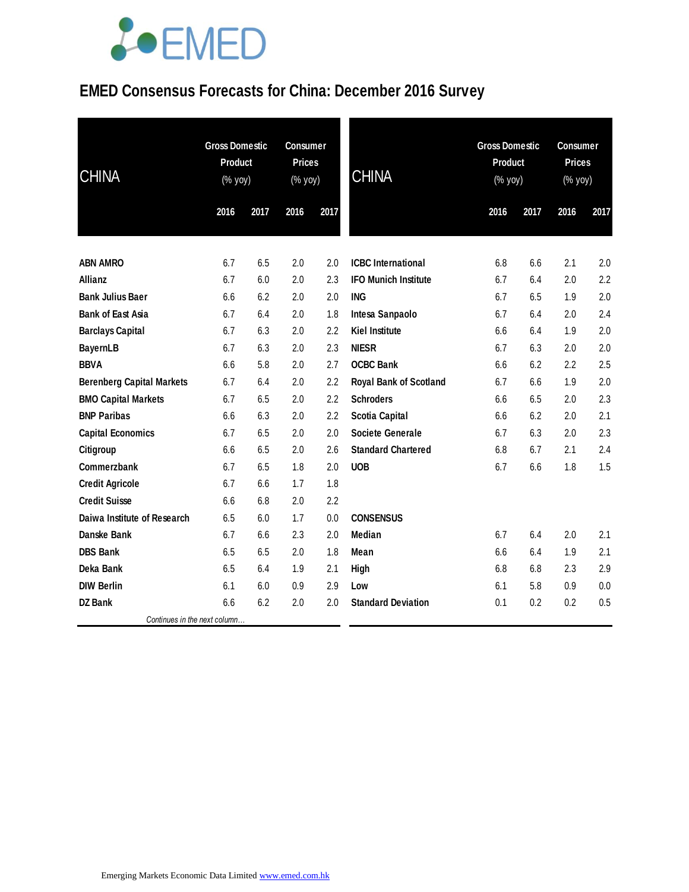# **JOEMED**

### **EMED Consensus Forecasts for China: December 2016 Survey**

| <b>CHINA</b>                     | <b>Gross Domestic</b><br>Product<br>(% yoy) |      | <b>Consumer</b><br><b>Prices</b><br>(% yoy) |      | <b>CHINA</b>                  |      | <b>Gross Domestic</b><br>Product<br>$(% \mathsf{Y}\rightarrow \mathsf{Y})$ |      | <b>Consumer</b><br><b>Prices</b><br>(% yoy) |  |
|----------------------------------|---------------------------------------------|------|---------------------------------------------|------|-------------------------------|------|----------------------------------------------------------------------------|------|---------------------------------------------|--|
|                                  | 2016                                        | 2017 | 2016                                        | 2017 |                               | 2016 | 2017                                                                       | 2016 | 2017                                        |  |
| <b>ABN AMRO</b>                  | 6.7                                         | 6.5  | 2.0                                         | 2.0  | <b>ICBC</b> International     | 6.8  | 6.6                                                                        | 2.1  | 2.0                                         |  |
| Allianz                          | 6.7                                         | 6.0  | 2.0                                         | 2.3  | <b>IFO Munich Institute</b>   | 6.7  | 6.4                                                                        | 2.0  | 2.2                                         |  |
| <b>Bank Julius Baer</b>          | 6.6                                         | 6.2  | 2.0                                         | 2.0  | <b>ING</b>                    | 6.7  | 6.5                                                                        | 1.9  | 2.0                                         |  |
| <b>Bank of East Asia</b>         | 6.7                                         | 6.4  | 2.0                                         | 1.8  | Intesa Sanpaolo               | 6.7  | 6.4                                                                        | 2.0  | 2.4                                         |  |
| <b>Barclays Capital</b>          | 6.7                                         | 6.3  | 2.0                                         | 2.2  | <b>Kiel Institute</b>         | 6.6  | 6.4                                                                        | 1.9  | 2.0                                         |  |
| <b>BayernLB</b>                  | 6.7                                         | 6.3  | 2.0                                         | 2.3  | <b>NIESR</b>                  | 6.7  | 6.3                                                                        | 2.0  | 2.0                                         |  |
| <b>BBVA</b>                      | 6.6                                         | 5.8  | 2.0                                         | 2.7  | <b>OCBC Bank</b>              | 6.6  | 6.2                                                                        | 2.2  | 2.5                                         |  |
| <b>Berenberg Capital Markets</b> | 6.7                                         | 6.4  | 2.0                                         | 2.2  | <b>Royal Bank of Scotland</b> | 6.7  | 6.6                                                                        | 1.9  | 2.0                                         |  |
| <b>BMO Capital Markets</b>       | 6.7                                         | 6.5  | 2.0                                         | 2.2  | <b>Schroders</b>              | 6.6  | 6.5                                                                        | 2.0  | 2.3                                         |  |
| <b>BNP Paribas</b>               | 6.6                                         | 6.3  | 2.0                                         | 2.2  | <b>Scotia Capital</b>         | 6.6  | 6.2                                                                        | 2.0  | 2.1                                         |  |
| <b>Capital Economics</b>         | 6.7                                         | 6.5  | 2.0                                         | 2.0  | <b>Societe Generale</b>       | 6.7  | 6.3                                                                        | 2.0  | 2.3                                         |  |
| Citigroup                        | 6.6                                         | 6.5  | 2.0                                         | 2.6  | <b>Standard Chartered</b>     | 6.8  | 6.7                                                                        | 2.1  | 2.4                                         |  |
| Commerzbank                      | 6.7                                         | 6.5  | 1.8                                         | 2.0  | <b>UOB</b>                    | 6.7  | 6.6                                                                        | 1.8  | 1.5                                         |  |
| <b>Credit Agricole</b>           | 6.7                                         | 6.6  | 1.7                                         | 1.8  |                               |      |                                                                            |      |                                             |  |
| <b>Credit Suisse</b>             | 6.6                                         | 6.8  | 2.0                                         | 2.2  |                               |      |                                                                            |      |                                             |  |
| Daiwa Institute of Research      | 6.5                                         | 6.0  | 1.7                                         | 0.0  | <b>CONSENSUS</b>              |      |                                                                            |      |                                             |  |
| Danske Bank                      | 6.7                                         | 6.6  | 2.3                                         | 2.0  | Median                        | 6.7  | 6.4                                                                        | 2.0  | 2.1                                         |  |
| <b>DBS Bank</b>                  | 6.5                                         | 6.5  | 2.0                                         | 1.8  | Mean                          | 6.6  | 6.4                                                                        | 1.9  | 2.1                                         |  |
| Deka Bank                        | 6.5                                         | 6.4  | 1.9                                         | 2.1  | High                          | 6.8  | 6.8                                                                        | 2.3  | 2.9                                         |  |
| <b>DIW Berlin</b>                | 6.1                                         | 6.0  | 0.9                                         | 2.9  | Low                           | 6.1  | 5.8                                                                        | 0.9  | 0.0                                         |  |
| <b>DZ Bank</b>                   | 6.6                                         | 6.2  | 2.0                                         | 2.0  | <b>Standard Deviation</b>     | 0.1  | 0.2                                                                        | 0.2  | 0.5                                         |  |
| Continues in the next column     |                                             |      |                                             |      |                               |      |                                                                            |      |                                             |  |